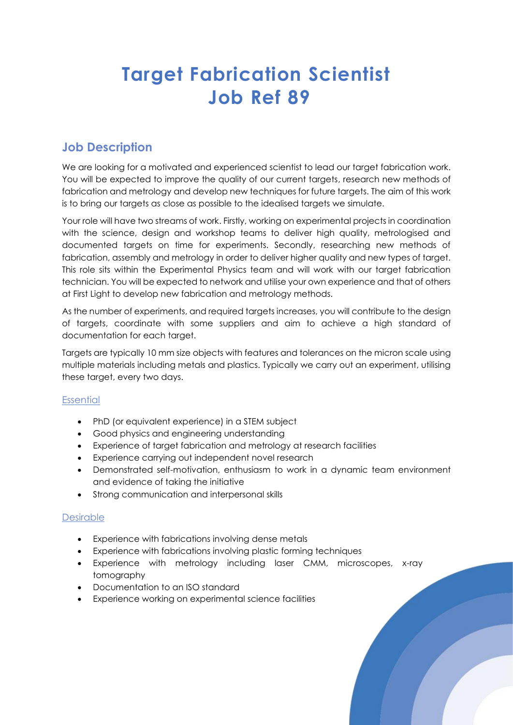# **Target Fabrication Scientist Job Ref 89**

# **Job Description**

We are looking for a motivated and experienced scientist to lead our target fabrication work. You will be expected to improve the quality of our current targets, research new methods of fabrication and metrology and develop new techniques for future targets. The aim of this work is to bring our targets as close as possible to the idealised targets we simulate.

Your role will have two streams of work. Firstly, working on experimental projects in coordination with the science, design and workshop teams to deliver high quality, metrologised and documented targets on time for experiments. Secondly, researching new methods of fabrication, assembly and metrology in order to deliver higher quality and new types of target. This role sits within the Experimental Physics team and will work with our target fabrication technician. You will be expected to network and utilise your own experience and that of others at First Light to develop new fabrication and metrology methods.

As the number of experiments, and required targets increases, you will contribute to the design of targets, coordinate with some suppliers and aim to achieve a high standard of documentation for each target.

Targets are typically 10 mm size objects with features and tolerances on the micron scale using multiple materials including metals and plastics. Typically we carry out an experiment, utilising these target, every two days.

#### **Essential**

- PhD (or equivalent experience) in a STEM subject
- Good physics and engineering understanding
- Experience of target fabrication and metrology at research facilities
- Experience carrying out independent novel research
- Demonstrated self-motivation, enthusiasm to work in a dynamic team environment and evidence of taking the initiative
- Strong communication and interpersonal skills

#### Desirable

- Experience with fabrications involving dense metals
- Experience with fabrications involving plastic forming techniques
- Experience with metrology including laser CMM, microscopes, x-ray tomography
- Documentation to an ISO standard
- Experience working on experimental science facilities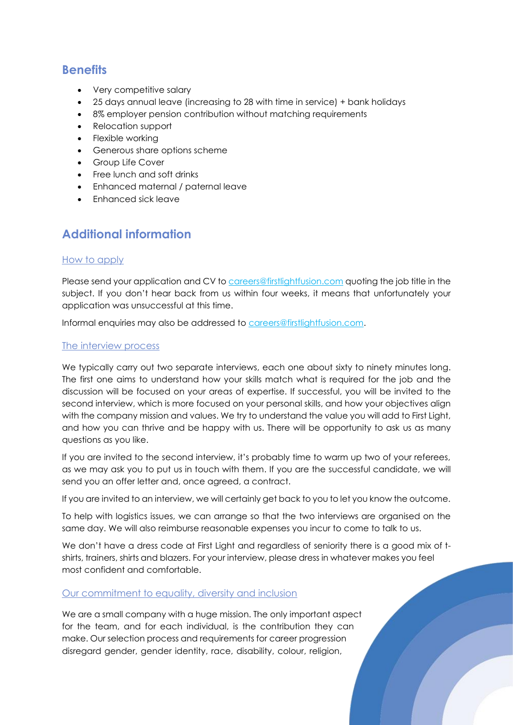### **Benefits**

- Very competitive salary
- 25 days annual leave (increasing to 28 with time in service) + bank holidays
- 8% employer pension contribution without matching requirements
- Relocation support
- Flexible working
- Generous share options scheme
- Group Life Cover
- Free lunch and soft drinks
- Enhanced maternal / paternal leave
- Enhanced sick leave

## **Additional information**

#### How to apply

Please send your application and CV to [careers@firstlightfusion.com](mailto:careers@firstlightfusion.com) quoting the job title in the subject. If you don't hear back from us within four weeks, it means that unfortunately your application was unsuccessful at this time.

Informal enquiries may also be addressed to [careers@firstlightfusion.com.](mailto:careers@firstlightfusion.com)

#### The interview process

We typically carry out two separate interviews, each one about sixty to ninety minutes long. The first one aims to understand how your skills match what is required for the job and the discussion will be focused on your areas of expertise. If successful, you will be invited to the second interview, which is more focused on your personal skills, and how your objectives align with the company mission and values. We try to understand the value you will add to First Light, and how you can thrive and be happy with us. There will be opportunity to ask us as many questions as you like.

If you are invited to the second interview, it's probably time to warm up two of your referees, as we may ask you to put us in touch with them. If you are the successful candidate, we will send you an offer letter and, once agreed, a contract.

If you are invited to an interview, we will certainly get back to you to let you know the outcome.

To help with logistics issues, we can arrange so that the two interviews are organised on the same day. We will also reimburse reasonable expenses you incur to come to talk to us.

We don't have a dress code at First Light and regardless of seniority there is a good mix of tshirts, trainers, shirts and blazers. For your interview, please dress in whatever makes you feel most confident and comfortable.

#### Our commitment to equality, diversity and inclusion

We are a small company with a huge mission. The only important aspect for the team, and for each individual, is the contribution they can make. Our selection process and requirements for career progression disregard gender, gender identity, race, disability, colour, religion,